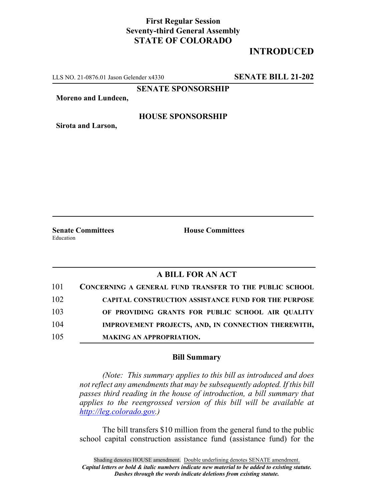## **First Regular Session Seventy-third General Assembly STATE OF COLORADO**

# **INTRODUCED**

LLS NO. 21-0876.01 Jason Gelender x4330 **SENATE BILL 21-202**

**SENATE SPONSORSHIP**

**Moreno and Lundeen,**

#### **HOUSE SPONSORSHIP**

**Sirota and Larson,**

Education

**Senate Committees House Committees** 

### **A BILL FOR AN ACT**

| 101 | CONCERNING A GENERAL FUND TRANSFER TO THE PUBLIC SCHOOL     |
|-----|-------------------------------------------------------------|
| 102 | <b>CAPITAL CONSTRUCTION ASSISTANCE FUND FOR THE PURPOSE</b> |
| 103 | OF PROVIDING GRANTS FOR PUBLIC SCHOOL AIR QUALITY           |
| 104 | IMPROVEMENT PROJECTS, AND, IN CONNECTION THEREWITH,         |
| 105 | <b>MAKING AN APPROPRIATION.</b>                             |

### **Bill Summary**

*(Note: This summary applies to this bill as introduced and does not reflect any amendments that may be subsequently adopted. If this bill passes third reading in the house of introduction, a bill summary that applies to the reengrossed version of this bill will be available at http://leg.colorado.gov.)*

The bill transfers \$10 million from the general fund to the public school capital construction assistance fund (assistance fund) for the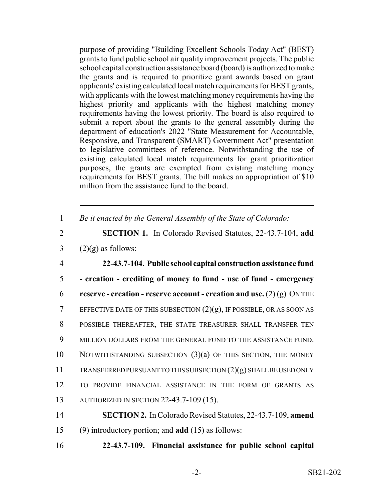purpose of providing "Building Excellent Schools Today Act" (BEST) grants to fund public school air quality improvement projects. The public school capital construction assistance board (board) is authorized to make the grants and is required to prioritize grant awards based on grant applicants' existing calculated local match requirements for BEST grants, with applicants with the lowest matching money requirements having the highest priority and applicants with the highest matching money requirements having the lowest priority. The board is also required to submit a report about the grants to the general assembly during the department of education's 2022 "State Measurement for Accountable, Responsive, and Transparent (SMART) Government Act" presentation to legislative committees of reference. Notwithstanding the use of existing calculated local match requirements for grant prioritization purposes, the grants are exempted from existing matching money requirements for BEST grants. The bill makes an appropriation of \$10 million from the assistance fund to the board.

| Be it enacted by the General Assembly of the State of Colorado: |  |  |  |
|-----------------------------------------------------------------|--|--|--|

2 **SECTION 1.** In Colorado Revised Statutes, 22-43.7-104, **add**  $3$  (2)(g) as follows:

 **22-43.7-104. Public school capital construction assistance fund - creation - crediting of money to fund - use of fund - emergency reserve - creation - reserve account - creation and use.** (2) (g) ON THE 7 EFFECTIVE DATE OF THIS SUBSECTION  $(2)(g)$ , IF POSSIBLE, OR AS SOON AS POSSIBLE THEREAFTER, THE STATE TREASURER SHALL TRANSFER TEN MILLION DOLLARS FROM THE GENERAL FUND TO THE ASSISTANCE FUND. NOTWITHSTANDING SUBSECTION (3)(a) OF THIS SECTION, THE MONEY TRANSFERRED PURSUANT TO THIS SUBSECTION (2)(g) SHALL BE USED ONLY TO PROVIDE FINANCIAL ASSISTANCE IN THE FORM OF GRANTS AS AUTHORIZED IN SECTION 22-43.7-109 (15).

- 14 **SECTION 2.** In Colorado Revised Statutes, 22-43.7-109, **amend** 15 (9) introductory portion; and **add** (15) as follows:
- 16 **22-43.7-109. Financial assistance for public school capital**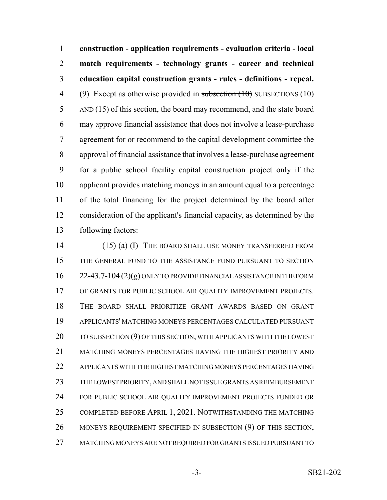**construction - application requirements - evaluation criteria - local match requirements - technology grants - career and technical education capital construction grants - rules - definitions - repeal.** 4 (9) Except as otherwise provided in subsection  $(10)$  SUBSECTIONS (10) AND (15) of this section, the board may recommend, and the state board may approve financial assistance that does not involve a lease-purchase agreement for or recommend to the capital development committee the approval of financial assistance that involves a lease-purchase agreement for a public school facility capital construction project only if the applicant provides matching moneys in an amount equal to a percentage of the total financing for the project determined by the board after consideration of the applicant's financial capacity, as determined by the following factors:

14 (15) (a) (I) THE BOARD SHALL USE MONEY TRANSFERRED FROM THE GENERAL FUND TO THE ASSISTANCE FUND PURSUANT TO SECTION 22-43.7-104 (2)(g) ONLY TO PROVIDE FINANCIAL ASSISTANCE IN THE FORM OF GRANTS FOR PUBLIC SCHOOL AIR QUALITY IMPROVEMENT PROJECTS. THE BOARD SHALL PRIORITIZE GRANT AWARDS BASED ON GRANT APPLICANTS' MATCHING MONEYS PERCENTAGES CALCULATED PURSUANT 20 TO SUBSECTION (9) OF THIS SECTION, WITH APPLICANTS WITH THE LOWEST MATCHING MONEYS PERCENTAGES HAVING THE HIGHEST PRIORITY AND APPLICANTS WITH THE HIGHEST MATCHING MONEYS PERCENTAGES HAVING THE LOWEST PRIORITY, AND SHALL NOT ISSUE GRANTS AS REIMBURSEMENT FOR PUBLIC SCHOOL AIR QUALITY IMPROVEMENT PROJECTS FUNDED OR 25 COMPLETED BEFORE APRIL 1, 2021. NOTWITHSTANDING THE MATCHING 26 MONEYS REQUIREMENT SPECIFIED IN SUBSECTION (9) OF THIS SECTION, MATCHING MONEYS ARE NOT REQUIRED FOR GRANTS ISSUED PURSUANT TO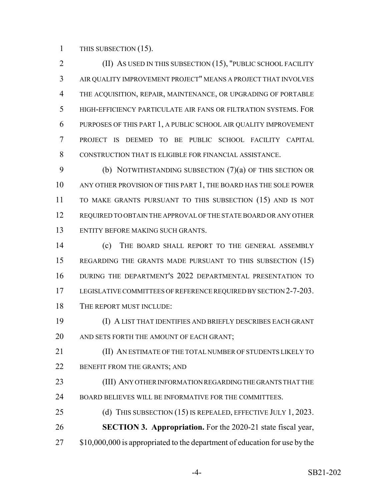1 THIS SUBSECTION (15).

**(II)** AS USED IN THIS SUBSECTION (15), "PUBLIC SCHOOL FACILITY AIR QUALITY IMPROVEMENT PROJECT" MEANS A PROJECT THAT INVOLVES THE ACQUISITION, REPAIR, MAINTENANCE, OR UPGRADING OF PORTABLE HIGH-EFFICIENCY PARTICULATE AIR FANS OR FILTRATION SYSTEMS. FOR PURPOSES OF THIS PART 1, A PUBLIC SCHOOL AIR QUALITY IMPROVEMENT PROJECT IS DEEMED TO BE PUBLIC SCHOOL FACILITY CAPITAL CONSTRUCTION THAT IS ELIGIBLE FOR FINANCIAL ASSISTANCE.

 (b) NOTWITHSTANDING SUBSECTION (7)(a) OF THIS SECTION OR ANY OTHER PROVISION OF THIS PART 1, THE BOARD HAS THE SOLE POWER TO MAKE GRANTS PURSUANT TO THIS SUBSECTION (15) AND IS NOT REQUIRED TO OBTAIN THE APPROVAL OF THE STATE BOARD OR ANY OTHER ENTITY BEFORE MAKING SUCH GRANTS.

 (c) THE BOARD SHALL REPORT TO THE GENERAL ASSEMBLY 15 REGARDING THE GRANTS MADE PURSUANT TO THIS SUBSECTION (15) DURING THE DEPARTMENT'S 2022 DEPARTMENTAL PRESENTATION TO 17 LEGISLATIVE COMMITTEES OF REFERENCE REQUIRED BY SECTION 2-7-203. THE REPORT MUST INCLUDE:

 (I) A LIST THAT IDENTIFIES AND BRIEFLY DESCRIBES EACH GRANT 20 AND SETS FORTH THE AMOUNT OF EACH GRANT;

 (II) AN ESTIMATE OF THE TOTAL NUMBER OF STUDENTS LIKELY TO 22 BENEFIT FROM THE GRANTS; AND

 (III) ANY OTHER INFORMATION REGARDING THE GRANTS THAT THE BOARD BELIEVES WILL BE INFORMATIVE FOR THE COMMITTEES.

25 (d) THIS SUBSECTION (15) IS REPEALED, EFFECTIVE JULY 1, 2023. **SECTION 3. Appropriation.** For the 2020-21 state fiscal year, 27 \$10,000,000 is appropriated to the department of education for use by the